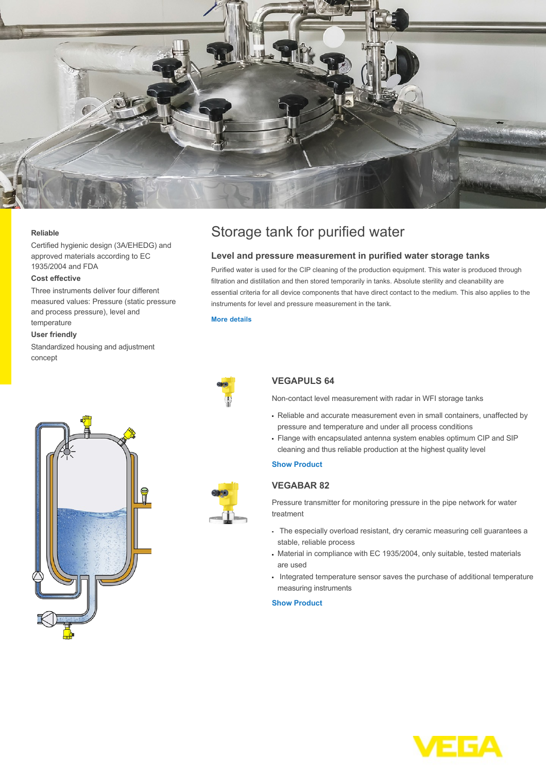

#### **Reliable**

Certified hygienic design (3A/EHEDG) and approved materials according to EC 1935/2004 and FDA

### **Cost effective**

Three instruments deliver four different measured values: Pressure (static pressure and process pressure), level and temperature

### **User friendly**

Standardized housing and adjustment concept



## **Level and pressure measurement in purified water storage tanks**

Purified water is used for the CIP cleaning of the production equipment. This water is produced through filtration and distillation and then stored temporarily in tanks. Absolute sterility and cleanability are essential criteria for all device components that have direct contact to the medium. This also applies to the instruments for level and pressure measurement in the tank.

#### **[More details](http://localhost/en-us/industries/food-industry/brewery/ultrapure-water-storage-tank)**



# **VEGAPULS 64**

Non-contact level measurement with radar in WFI storage tanks

- Reliable and accurate measurement even in small containers, unaffected by pressure and temperature and under all process conditions
- Flange with encapsulated antenna system enables optimum CIP and SIP cleaning and thus reliable production at the highest quality level

## **[Show Product](http://localhost/en-us/products/product-catalog/level/radar/vegapuls-6x)**

# **VEGABAR 82**

Pressure transmitter for monitoring pressure in the pipe network for water treatment

- The especially overload resistant, dry ceramic measuring cell quarantees a stable, reliable process
- Material in compliance with EC 1935/2004, only suitable, tested materials are used
- Integrated temperature sensor saves the purchase of additional temperature measuring instruments

#### **[Show Product](http://localhost/en-us/products/product-catalog/pressure/process-pressure/vegabar-82)**